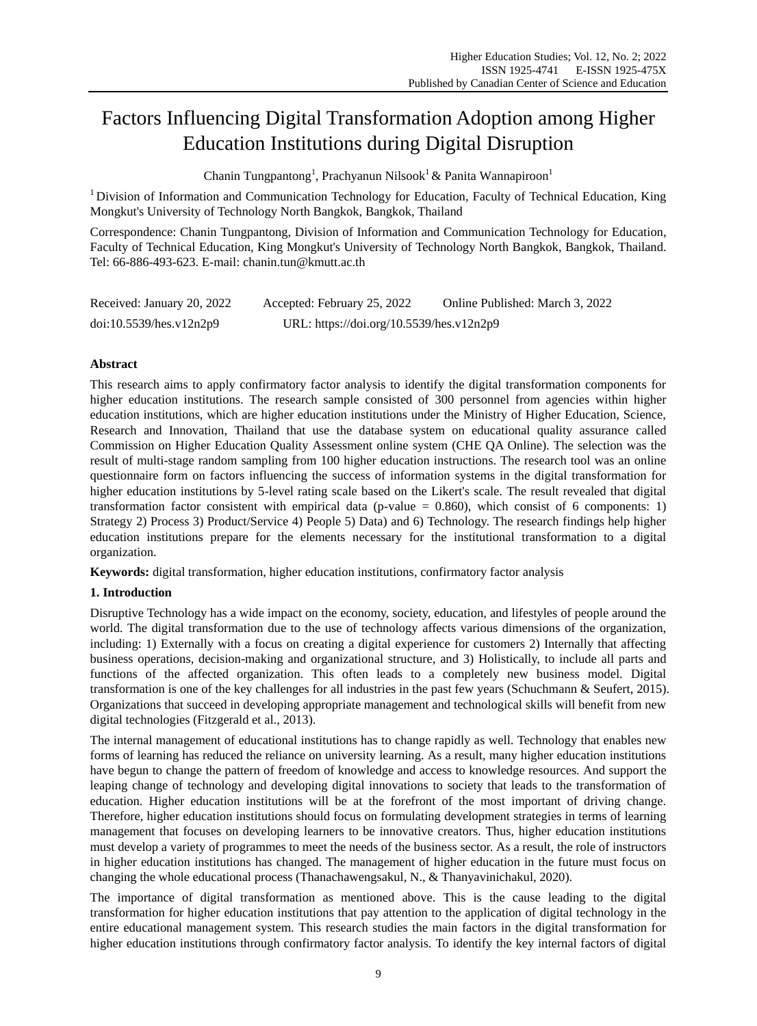# Factors Influencing Digital Transformation Adoption among Higher Education Institutions during Digital Disruption

Chanin Tungpantong<sup>1</sup>, Prachyanun Nilsook<sup>1</sup> & Panita Wannapiroon<sup>1</sup>

 $1$  Division of Information and Communication Technology for Education, Faculty of Technical Education, King Mongkut's University of Technology North Bangkok, Bangkok, Thailand

Correspondence: Chanin Tungpantong, Division of Information and Communication Technology for Education, Faculty of Technical Education, King Mongkut's University of Technology North Bangkok, Bangkok, Thailand. Tel: 66-886-493-623. E-mail: chanin.tun@kmutt.ac.th

| Received: January 20, 2022 | Accepted: February 25, 2022              | Online Published: March 3, 2022 |
|----------------------------|------------------------------------------|---------------------------------|
| doi:10.5539/hes.v12n2p9    | URL: https://doi.org/10.5539/hes.v12n2p9 |                                 |

## **Abstract**

This research aims to apply confirmatory factor analysis to identify the digital transformation components for higher education institutions. The research sample consisted of 300 personnel from agencies within higher education institutions, which are higher education institutions under the Ministry of Higher Education, Science, Research and Innovation, Thailand that use the database system on educational quality assurance called Commission on Higher Education Quality Assessment online system (CHE QA Online). The selection was the result of multi-stage random sampling from 100 higher education instructions. The research tool was an online questionnaire form on factors influencing the success of information systems in the digital transformation for higher education institutions by 5-level rating scale based on the Likert's scale. The result revealed that digital transformation factor consistent with empirical data (p-value  $= 0.860$ ), which consist of 6 components: 1) Strategy 2) Process 3) Product/Service 4) People 5) Data) and 6) Technology. The research findings help higher education institutions prepare for the elements necessary for the institutional transformation to a digital organization.

**Keywords:** digital transformation, higher education institutions, confirmatory factor analysis

# **1. Introduction**

Disruptive Technology has a wide impact on the economy, society, education, and lifestyles of people around the world. The digital transformation due to the use of technology affects various dimensions of the organization, including: 1) Externally with a focus on creating a digital experience for customers 2) Internally that affecting business operations, decision-making and organizational structure, and 3) Holistically, to include all parts and functions of the affected organization. This often leads to a completely new business model. Digital transformation is one of the key challenges for all industries in the past few years (Schuchmann & Seufert, 2015). Organizations that succeed in developing appropriate management and technological skills will benefit from new digital technologies (Fitzgerald et al., 2013).

The internal management of educational institutions has to change rapidly as well. Technology that enables new forms of learning has reduced the reliance on university learning. As a result, many higher education institutions have begun to change the pattern of freedom of knowledge and access to knowledge resources. And support the leaping change of technology and developing digital innovations to society that leads to the transformation of education. Higher education institutions will be at the forefront of the most important of driving change. Therefore, higher education institutions should focus on formulating development strategies in terms of learning management that focuses on developing learners to be innovative creators. Thus, higher education institutions must develop a variety of programmes to meet the needs of the business sector. As a result, the role of instructors in higher education institutions has changed. The management of higher education in the future must focus on changing the whole educational process (Thanachawengsakul, N., & Thanyavinichakul, 2020).

The importance of digital transformation as mentioned above. This is the cause leading to the digital transformation for higher education institutions that pay attention to the application of digital technology in the entire educational management system. This research studies the main factors in the digital transformation for higher education institutions through confirmatory factor analysis. To identify the key internal factors of digital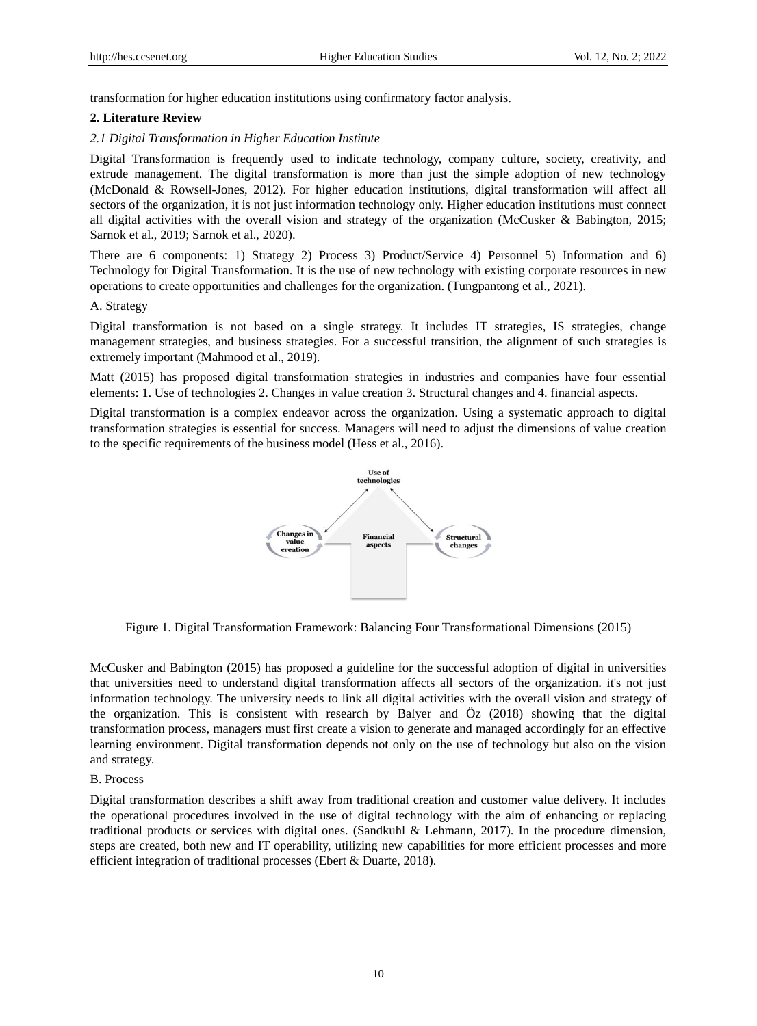transformation for higher education institutions using confirmatory factor analysis.

## **2. Literature Review**

## *2.1 Digital Transformation in Higher Education Institute*

Digital Transformation is frequently used to indicate technology, company culture, society, creativity, and extrude management. The digital transformation is more than just the simple adoption of new technology (McDonald & Rowsell-Jones, 2012). For higher education institutions, digital transformation will affect all sectors of the organization, it is not just information technology only. Higher education institutions must connect all digital activities with the overall vision and strategy of the organization (McCusker & Babington, 2015; Sarnok et al., 2019; Sarnok et al., 2020).

There are 6 components: 1) Strategy 2) Process 3) Product/Service 4) Personnel 5) Information and 6) Technology for Digital Transformation. It is the use of new technology with existing corporate resources in new operations to create opportunities and challenges for the organization. (Tungpantong et al., 2021).

## A. Strategy

Digital transformation is not based on a single strategy. It includes IT strategies, IS strategies, change management strategies, and business strategies. For a successful transition, the alignment of such strategies is extremely important (Mahmood et al., 2019).

Matt (2015) has proposed digital transformation strategies in industries and companies have four essential elements: 1. Use of technologies 2. Changes in value creation 3. Structural changes and 4. financial aspects.

Digital transformation is a complex endeavor across the organization. Using a systematic approach to digital transformation strategies is essential for success. Managers will need to adjust the dimensions of value creation to the specific requirements of the business model (Hess et al., 2016).



Figure 1. Digital Transformation Framework: Balancing Four Transformational Dimensions (2015)

McCusker and Babington (2015) has proposed a guideline for the successful adoption of digital in universities that universities need to understand digital transformation affects all sectors of the organization. it's not just information technology. The university needs to link all digital activities with the overall vision and strategy of the organization. This is consistent with research by Balyer and Öz (2018) showing that the digital transformation process, managers must first create a vision to generate and managed accordingly for an effective learning environment. Digital transformation depends not only on the use of technology but also on the vision and strategy.

## B. Process

Digital transformation describes a shift away from traditional creation and customer value delivery. It includes the operational procedures involved in the use of digital technology with the aim of enhancing or replacing traditional products or services with digital ones. (Sandkuhl & Lehmann, 2017). In the procedure dimension, steps are created, both new and IT operability, utilizing new capabilities for more efficient processes and more efficient integration of traditional processes (Ebert & Duarte, 2018).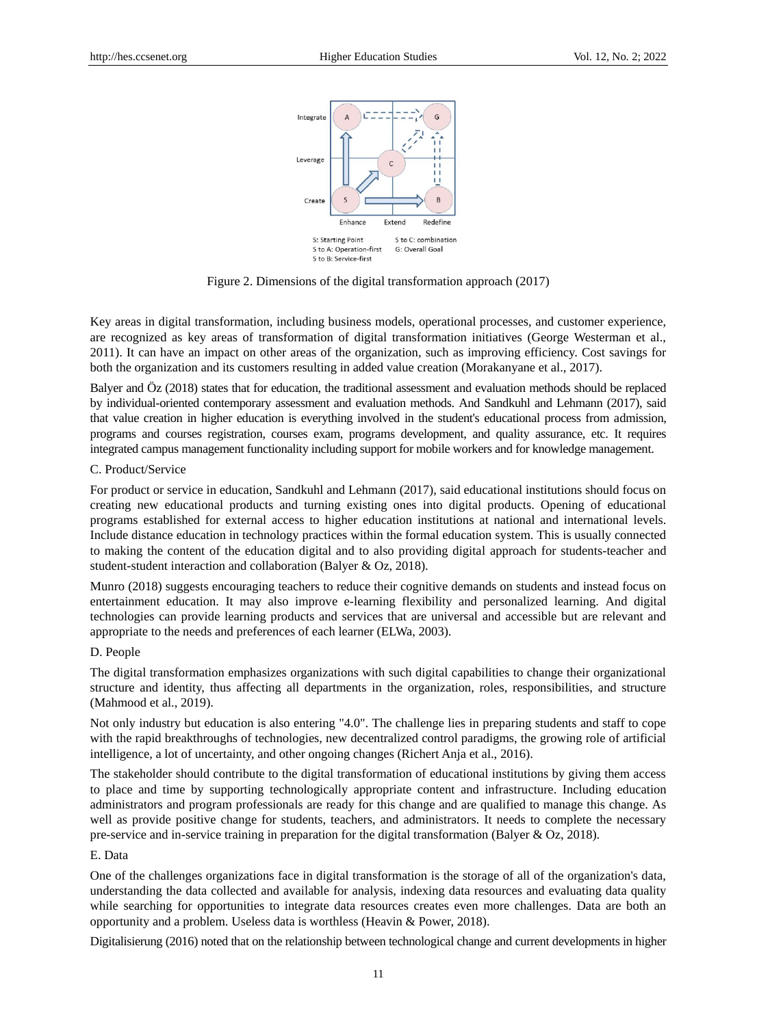

Figure 2. Dimensions of the digital transformation approach (2017)

Key areas in digital transformation, including business models, operational processes, and customer experience, are recognized as key areas of transformation of digital transformation initiatives (George Westerman et al., 2011). It can have an impact on other areas of the organization, such as improving efficiency. Cost savings for both the organization and its customers resulting in added value creation (Morakanyane et al., 2017).

Balyer and Öz (2018) states that for education, the traditional assessment and evaluation methods should be replaced by individual-oriented contemporary assessment and evaluation methods. And Sandkuhl and Lehmann (2017), said that value creation in higher education is everything involved in the student's educational process from admission, programs and courses registration, courses exam, programs development, and quality assurance, etc. It requires integrated campus management functionality including support for mobile workers and for knowledge management.

#### C. Product/Service

For product or service in education, Sandkuhl and Lehmann (2017), said educational institutions should focus on creating new educational products and turning existing ones into digital products. Opening of educational programs established for external access to higher education institutions at national and international levels. Include distance education in technology practices within the formal education system. This is usually connected to making the content of the education digital and to also providing digital approach for students-teacher and student-student interaction and collaboration (Balyer & Oz, 2018).

Munro (2018) suggests encouraging teachers to reduce their cognitive demands on students and instead focus on entertainment education. It may also improve e-learning flexibility and personalized learning. And digital technologies can provide learning products and services that are universal and accessible but are relevant and appropriate to the needs and preferences of each learner (ELWa, 2003).

## D. People

The digital transformation emphasizes organizations with such digital capabilities to change their organizational structure and identity, thus affecting all departments in the organization, roles, responsibilities, and structure (Mahmood et al., 2019).

Not only industry but education is also entering "4.0". The challenge lies in preparing students and staff to cope with the rapid breakthroughs of technologies, new decentralized control paradigms, the growing role of artificial intelligence, a lot of uncertainty, and other ongoing changes (Richert Anja et al., 2016).

The stakeholder should contribute to the digital transformation of educational institutions by giving them access to place and time by supporting technologically appropriate content and infrastructure. Including education administrators and program professionals are ready for this change and are qualified to manage this change. As well as provide positive change for students, teachers, and administrators. It needs to complete the necessary pre-service and in-service training in preparation for the digital transformation (Balyer & Oz, 2018).

# E. Data

One of the challenges organizations face in digital transformation is the storage of all of the organization's data, understanding the data collected and available for analysis, indexing data resources and evaluating data quality while searching for opportunities to integrate data resources creates even more challenges. Data are both an opportunity and a problem. Useless data is worthless (Heavin & Power, 2018).

Digitalisierung (2016) noted that on the relationship between technological change and current developments in higher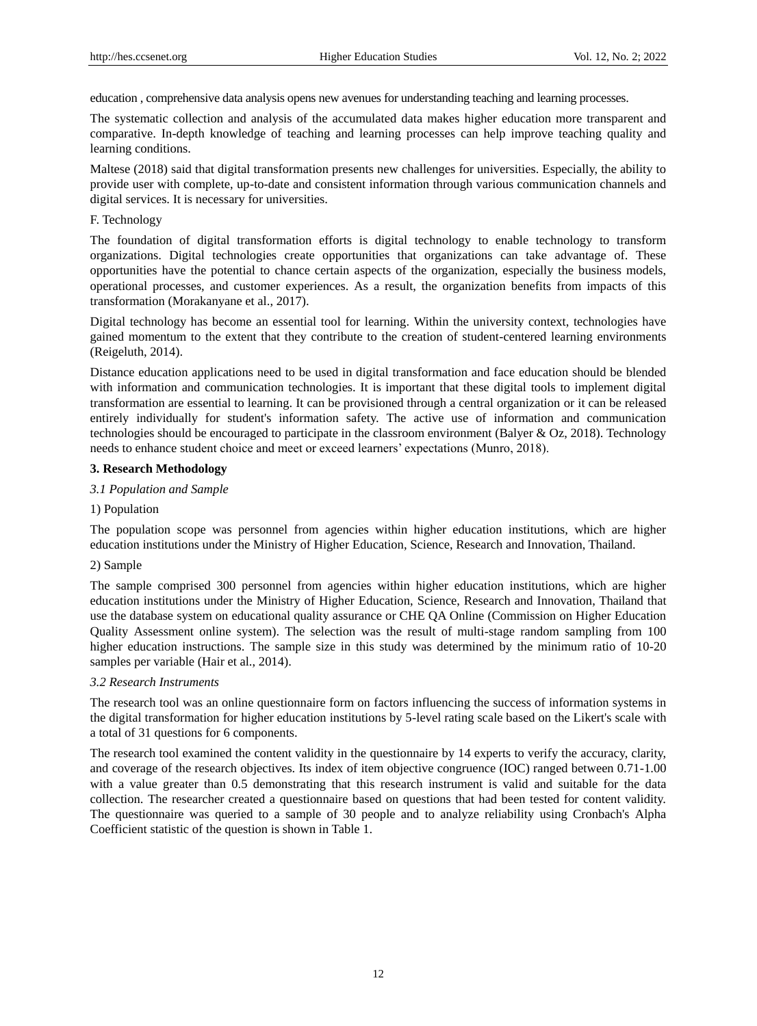education , comprehensive data analysis opens new avenues for understanding teaching and learning processes.

The systematic collection and analysis of the accumulated data makes higher education more transparent and comparative. In-depth knowledge of teaching and learning processes can help improve teaching quality and learning conditions.

Maltese (2018) said that digital transformation presents new challenges for universities. Especially, the ability to provide user with complete, up-to-date and consistent information through various communication channels and digital services. It is necessary for universities.

## F. Technology

The foundation of digital transformation efforts is digital technology to enable technology to transform organizations. Digital technologies create opportunities that organizations can take advantage of. These opportunities have the potential to chance certain aspects of the organization, especially the business models, operational processes, and customer experiences. As a result, the organization benefits from impacts of this transformation (Morakanyane et al., 2017).

Digital technology has become an essential tool for learning. Within the university context, technologies have gained momentum to the extent that they contribute to the creation of student-centered learning environments (Reigeluth, 2014).

Distance education applications need to be used in digital transformation and face education should be blended with information and communication technologies. It is important that these digital tools to implement digital transformation are essential to learning. It can be provisioned through a central organization or it can be released entirely individually for student's information safety. The active use of information and communication technologies should be encouraged to participate in the classroom environment (Balyer & Oz, 2018). Technology needs to enhance student choice and meet or exceed learners' expectations (Munro, 2018).

## **3. Research Methodology**

#### *3.1 Population and Sample*

## 1) Population

The population scope was personnel from agencies within higher education institutions, which are higher education institutions under the Ministry of Higher Education, Science, Research and Innovation, Thailand.

#### 2) Sample

The sample comprised 300 personnel from agencies within higher education institutions, which are higher education institutions under the Ministry of Higher Education, Science, Research and Innovation, Thailand that use the database system on educational quality assurance or CHE QA Online (Commission on Higher Education Quality Assessment online system). The selection was the result of multi-stage random sampling from 100 higher education instructions. The sample size in this study was determined by the minimum ratio of 10-20 samples per variable (Hair et al., 2014).

#### *3.2 Research Instruments*

The research tool was an online questionnaire form on factors influencing the success of information systems in the digital transformation for higher education institutions by 5-level rating scale based on the Likert's scale with a total of 31 questions for 6 components.

The research tool examined the content validity in the questionnaire by 14 experts to verify the accuracy, clarity, and coverage of the research objectives. Its index of item objective congruence (IOC) ranged between 0.71-1.00 with a value greater than 0.5 demonstrating that this research instrument is valid and suitable for the data collection. The researcher created a questionnaire based on questions that had been tested for content validity. The questionnaire was queried to a sample of 30 people and to analyze reliability using Cronbach's Alpha Coefficient statistic of the question is shown in Table 1.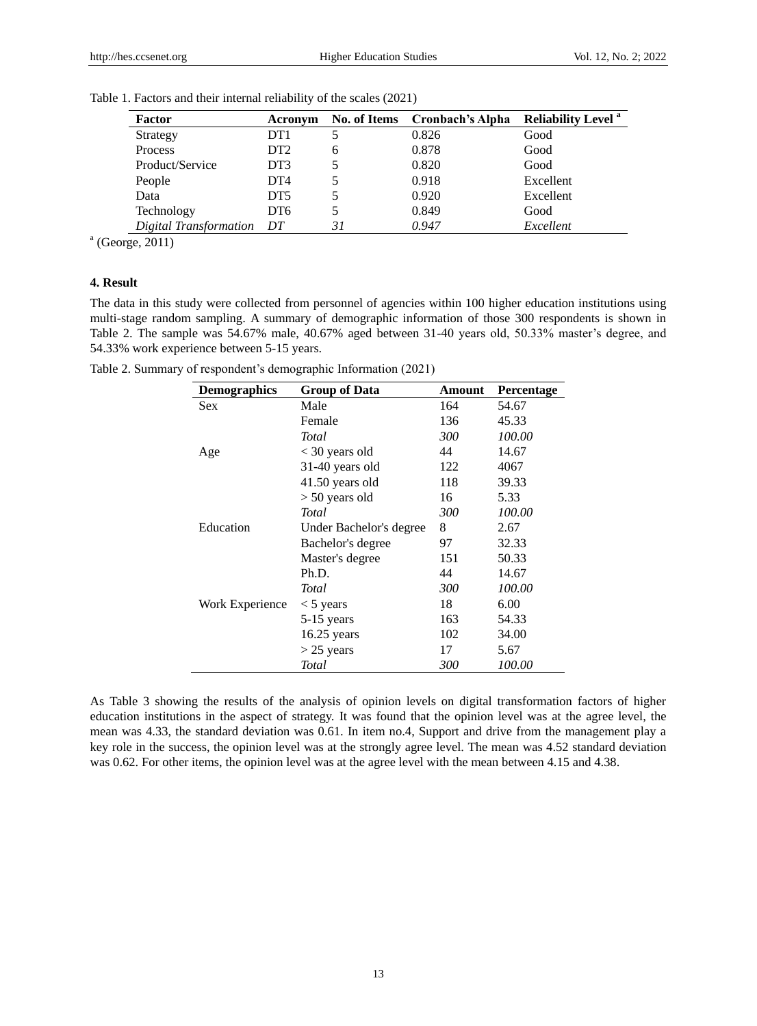| Factor                 | Acronym         |    | No. of Items Cronbach's Alpha | <b>Reliability Level</b> <sup>a</sup> |
|------------------------|-----------------|----|-------------------------------|---------------------------------------|
| Strategy               | DT <sub>1</sub> |    | 0.826                         | Good                                  |
| Process                | DT <sub>2</sub> | 6  | 0.878                         | Good                                  |
| Product/Service        | DT3             |    | 0.820                         | Good                                  |
| People                 | DT <sub>4</sub> |    | 0.918                         | Excellent                             |
| Data                   | DT <sub>5</sub> |    | 0.920                         | Excellent                             |
| Technology             | DT <sub>6</sub> |    | 0.849                         | Good                                  |
| Digital Transformation | DT              | 31 | 0.947                         | Excellent                             |

Table 1. Factors and their internal reliability of the scales (2021)

a (George, 2011)

## **4. Result**

The data in this study were collected from personnel of agencies within 100 higher education institutions using multi-stage random sampling. A summary of demographic information of those 300 respondents is shown in Table 2. The sample was 54.67% male, 40.67% aged between 31-40 years old, 50.33% master's degree, and 54.33% work experience between 5-15 years.

Table 2. Summary of respondent's demographic Information (2021)

| <b>Demographics</b> | <b>Group of Data</b>    | Amount | <b>Percentage</b> |
|---------------------|-------------------------|--------|-------------------|
| <b>Sex</b>          | Male                    | 164    | 54.67             |
|                     | Female                  | 136    | 45.33             |
|                     | <b>Total</b>            | 300    | 100.00            |
| Age                 | $<$ 30 years old        | 44     | 14.67             |
|                     | 31-40 years old         | 122    | 4067              |
|                     | $41.50$ years old       | 118    | 39.33             |
|                     | $> 50$ years old        | 16     | 5.33              |
|                     | <b>Total</b>            | 300    | 100.00            |
| Education           | Under Bachelor's degree | 8      | 2.67              |
|                     | Bachelor's degree       | 97     | 32.33             |
|                     | Master's degree         | 151    | 50.33             |
|                     | Ph.D.                   | 44     | 14.67             |
|                     | Total                   | 300    | 100.00            |
| Work Experience     | $<$ 5 years             | 18     | 6.00              |
|                     | 5-15 years              | 163    | 54.33             |
|                     | $16.25$ years           | 102    | 34.00             |
|                     | $>$ 25 years            | 17     | 5.67              |
|                     | Total                   | 300    | 100.00            |

As Table 3 showing the results of the analysis of opinion levels on digital transformation factors of higher education institutions in the aspect of strategy. It was found that the opinion level was at the agree level, the mean was 4.33, the standard deviation was 0.61. In item no.4, Support and drive from the management play a key role in the success, the opinion level was at the strongly agree level. The mean was 4.52 standard deviation was 0.62. For other items, the opinion level was at the agree level with the mean between 4.15 and 4.38.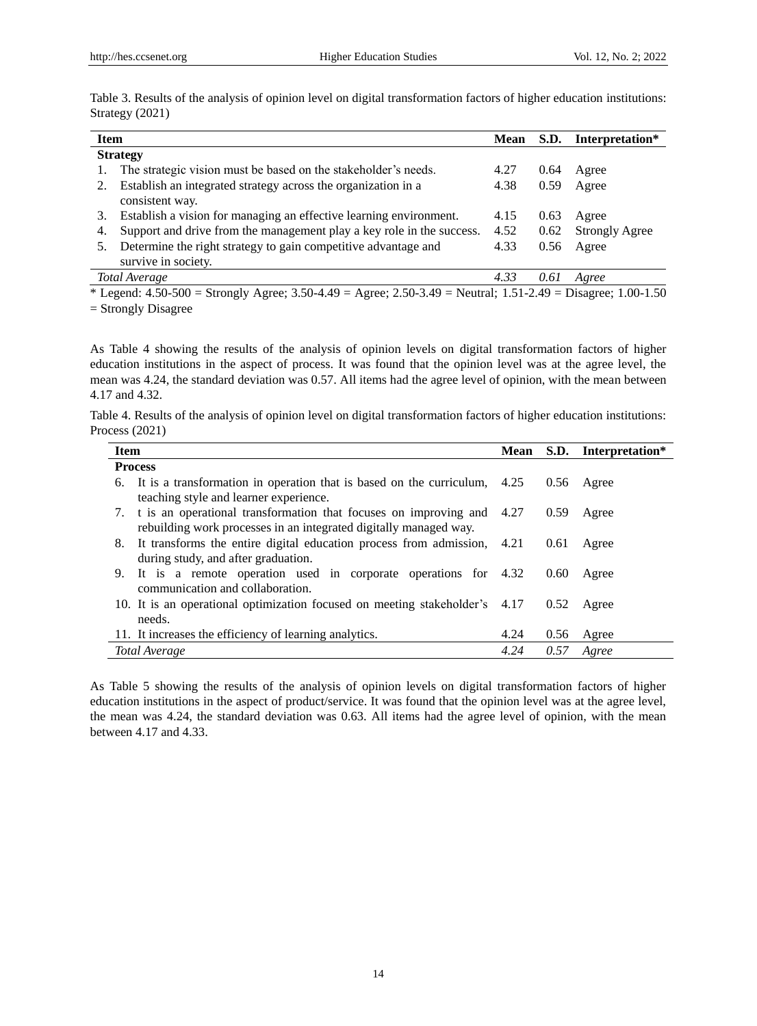| <b>Item</b>                                                                 | <b>Mean</b> | S.D. | Interpretation*       |
|-----------------------------------------------------------------------------|-------------|------|-----------------------|
| <b>Strategy</b>                                                             |             |      |                       |
| The strategic vision must be based on the stakeholder's needs.              | 4.27        | 0.64 | Agree                 |
| Establish an integrated strategy across the organization in a               | 4.38        | 0.59 | Agree                 |
| consistent way.                                                             |             |      |                       |
| Establish a vision for managing an effective learning environment.<br>3.    | 4.15        | 0.63 | Agree                 |
| Support and drive from the management play a key role in the success.<br>4. | 4.52        | 0.62 | <b>Strongly Agree</b> |
| Determine the right strategy to gain competitive advantage and              | 4.33        | 0.56 | Agree                 |
| survive in society.                                                         |             |      |                       |
| Total Average                                                               | 4.33        | 0.61 | Agree                 |
|                                                                             |             |      |                       |

Table 3. Results of the analysis of opinion level on digital transformation factors of higher education institutions: Strategy (2021)

\* Legend:  $4.50-500 =$  Strongly Agree;  $3.50-4.49 =$  Agree;  $2.50-3.49 =$  Neutral;  $1.51-2.49 =$  Disagree;  $1.00-1.50$ = Strongly Disagree

As Table 4 showing the results of the analysis of opinion levels on digital transformation factors of higher education institutions in the aspect of process. It was found that the opinion level was at the agree level, the mean was 4.24, the standard deviation was 0.57. All items had the agree level of opinion, with the mean between 4.17 and 4.32.

Table 4. Results of the analysis of opinion level on digital transformation factors of higher education institutions: Process (2021)

| <b>Item</b>                                                                  | Mean |      | S.D. Interpretation* |
|------------------------------------------------------------------------------|------|------|----------------------|
| <b>Process</b>                                                               |      |      |                      |
| 6. It is a transformation in operation that is based on the curriculum, 4.25 |      | 0.56 | Agree                |
| teaching style and learner experience.                                       |      |      |                      |
| 7. t is an operational transformation that focuses on improving and 4.27     |      | 0.59 | Agree                |
| rebuilding work processes in an integrated digitally managed way.            |      |      |                      |
| 8. It transforms the entire digital education process from admission, 4.21   |      | 0.61 | Agree                |
| during study, and after graduation.                                          |      |      |                      |
| 9. It is a remote operation used in corporate operations for 4.32            |      | 0.60 | Agree                |
| communication and collaboration.                                             |      |      |                      |
| 10. It is an operational optimization focused on meeting stakeholder's 4.17  |      | 0.52 | Agree                |
| needs.                                                                       |      |      |                      |
| 11. It increases the efficiency of learning analytics.                       | 4.24 | 0.56 | Agree                |
| Total Average                                                                | 4.24 | 0.57 | Agree                |

As Table 5 showing the results of the analysis of opinion levels on digital transformation factors of higher education institutions in the aspect of product/service. It was found that the opinion level was at the agree level, the mean was 4.24, the standard deviation was 0.63. All items had the agree level of opinion, with the mean between 4.17 and 4.33.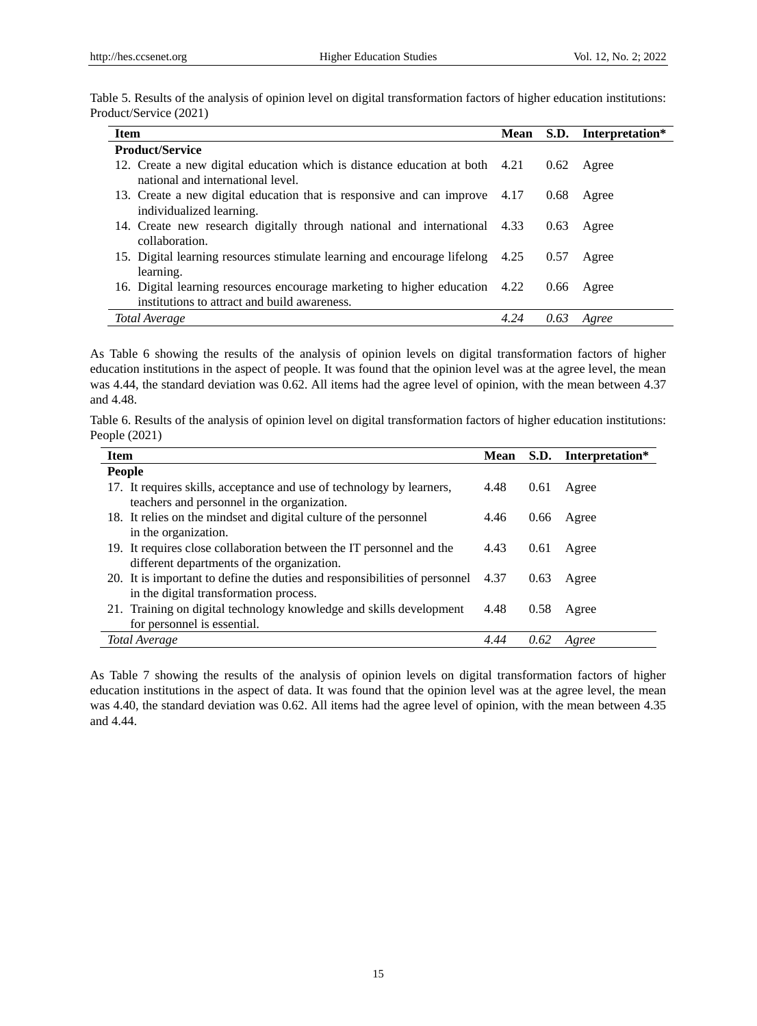|                        | Table 5. Results of the analysis of opinion level on digital transformation factors of higher education institutions: |
|------------------------|-----------------------------------------------------------------------------------------------------------------------|
| Product/Service (2021) |                                                                                                                       |

| <b>Item</b>                                                                                                                 |      |      | Mean S.D. Interpretation* |
|-----------------------------------------------------------------------------------------------------------------------------|------|------|---------------------------|
| <b>Product/Service</b>                                                                                                      |      |      |                           |
| 12. Create a new digital education which is distance education at both 4.21<br>national and international level.            |      |      | $0.62$ Agree              |
| 13. Create a new digital education that is responsive and can improve 4.17<br>individualized learning.                      |      | 0.68 | Agree                     |
| 14. Create new research digitally through national and international 4.33<br>collaboration.                                 |      | 0.63 | Agree                     |
| 15. Digital learning resources stimulate learning and encourage lifelong 4.25<br>learning.                                  |      | 0.57 | Agree                     |
| 16. Digital learning resources encourage marketing to higher education 4.22<br>institutions to attract and build awareness. |      |      | $0.66$ Agree              |
| Total Average                                                                                                               | 4.24 | 0.63 | Agree                     |

As Table 6 showing the results of the analysis of opinion levels on digital transformation factors of higher education institutions in the aspect of people. It was found that the opinion level was at the agree level, the mean was 4.44, the standard deviation was 0.62. All items had the agree level of opinion, with the mean between 4.37 and 4.48.

|                 |  |  | Table 6. Results of the analysis of opinion level on digital transformation factors of higher education institutions: |  |
|-----------------|--|--|-----------------------------------------------------------------------------------------------------------------------|--|
| People $(2021)$ |  |  |                                                                                                                       |  |

| <b>Item</b>                                                                                                          | <b>Mean</b> | S.D. | Interpretation* |
|----------------------------------------------------------------------------------------------------------------------|-------------|------|-----------------|
| <b>People</b>                                                                                                        |             |      |                 |
| 17. It requires skills, acceptance and use of technology by learners,<br>teachers and personnel in the organization. | 4.48        | 0.61 | Agree           |
| 18. It relies on the mindset and digital culture of the personnel<br>in the organization.                            | 4.46        | 0.66 | Agree           |
| 19. It requires close collaboration between the IT personnel and the<br>different departments of the organization.   | 4.43        | 0.61 | Agree           |
| 20. It is important to define the duties and responsibilities of personnel<br>in the digital transformation process. | 4.37        | 0.63 | Agree           |
| 21. Training on digital technology knowledge and skills development<br>for personnel is essential.                   | 4.48        | 0.58 | Agree           |
| Total Average                                                                                                        | 4.44        | 0.62 | Agree           |

As Table 7 showing the results of the analysis of opinion levels on digital transformation factors of higher education institutions in the aspect of data. It was found that the opinion level was at the agree level, the mean was 4.40, the standard deviation was 0.62. All items had the agree level of opinion, with the mean between 4.35 and 4.44.

15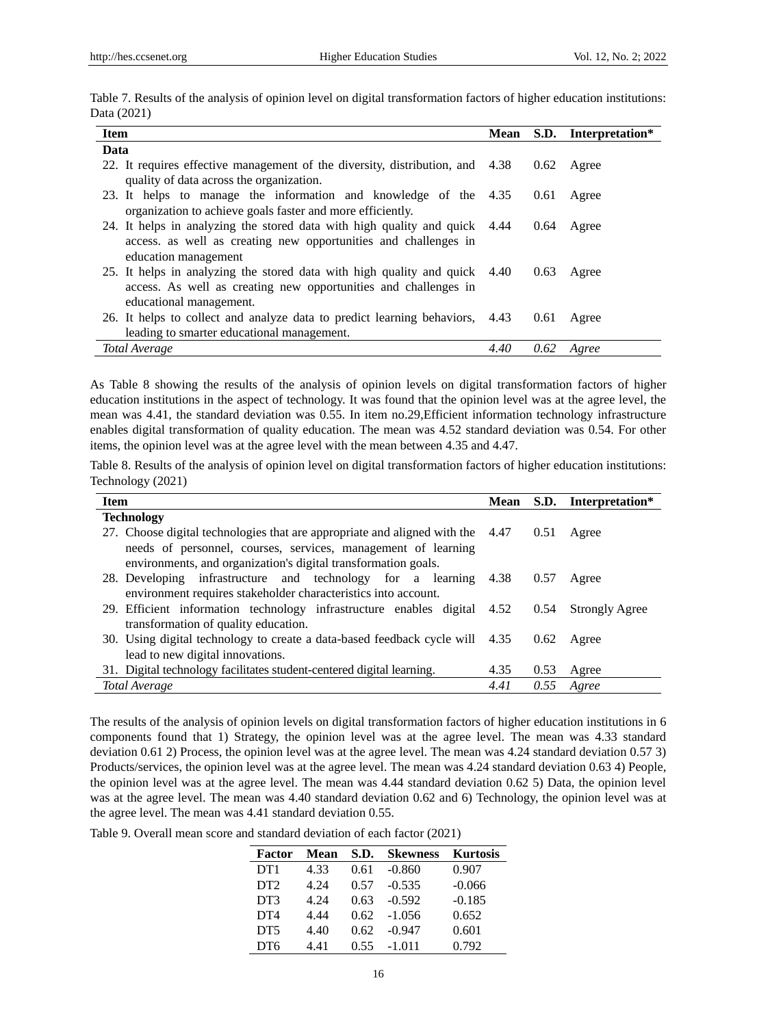| Data (2021)                                                                                                                               |      |                           |
|-------------------------------------------------------------------------------------------------------------------------------------------|------|---------------------------|
| <b>Item</b>                                                                                                                               |      | Mean S.D. Interpretation* |
| Data                                                                                                                                      |      |                           |
| 22. It requires effective management of the diversity, distribution, and 4.38 0.62 Agree<br>quality of data across the organization.      |      |                           |
| 23. It helps to manage the information and knowledge of the 4.35 0.61 Agree<br>organization to achieve goals faster and more efficiently. |      |                           |
| 24. It helps in analyzing the stored data with high quality and quick 4.44                                                                | 0.64 | Agree                     |

Table 7. Results of the analysis of opinion level on digital transformation factors of higher education institutions:

| access, as well as creating new opportunities and challenges in                         |  |              |
|-----------------------------------------------------------------------------------------|--|--------------|
| education management                                                                    |  |              |
| 25. It helps in analyzing the stored data with high quality and quick 4.40              |  | $0.63$ Agree |
| access. As well as creating new opportunities and challenges in                         |  |              |
| educational management.                                                                 |  |              |
| 26. It helps to collect and analyze data to predict learning behaviors, 4.43 0.61 Agree |  |              |
| leading to smarter educational management.                                              |  |              |

*Total Average 4.40 0.62 Agree* As Table 8 showing the results of the analysis of opinion levels on digital transformation factors of higher

education institutions in the aspect of technology. It was found that the opinion level was at the agree level, the mean was 4.41, the standard deviation was 0.55. In item no.29,Efficient information technology infrastructure enables digital transformation of quality education. The mean was 4.52 standard deviation was 0.54. For other items, the opinion level was at the agree level with the mean between 4.35 and 4.47.

Table 8. Results of the analysis of opinion level on digital transformation factors of higher education institutions: Technology (2021)

| <b>Item</b>                                                                    | Mean |      | S.D. Interpretation*  |
|--------------------------------------------------------------------------------|------|------|-----------------------|
| <b>Technology</b>                                                              |      |      |                       |
| 27. Choose digital technologies that are appropriate and aligned with the 4.47 |      | 0.51 | Agree                 |
| needs of personnel, courses, services, management of learning                  |      |      |                       |
| environments, and organization's digital transformation goals.                 |      |      |                       |
| 28. Developing infrastructure and technology for a learning                    | 4.38 | 0.57 | Agree                 |
| environment requires stakeholder characteristics into account.                 |      |      |                       |
| 29. Efficient information technology infrastructure enables digital 4.52       |      | 0.54 | <b>Strongly Agree</b> |
| transformation of quality education.                                           |      |      |                       |
| 30. Using digital technology to create a data-based feedback cycle will 4.35   |      | 0.62 | Agree                 |
| lead to new digital innovations.                                               |      |      |                       |
| 31. Digital technology facilitates student-centered digital learning.          | 4.35 | 0.53 | Agree                 |
| Total Average                                                                  | 4.41 | 0.55 | Agree                 |

The results of the analysis of opinion levels on digital transformation factors of higher education institutions in 6 components found that 1) Strategy, the opinion level was at the agree level. The mean was 4.33 standard deviation 0.61 2) Process, the opinion level was at the agree level. The mean was 4.24 standard deviation 0.57 3) Products/services, the opinion level was at the agree level. The mean was 4.24 standard deviation 0.63 4) People, the opinion level was at the agree level. The mean was 4.44 standard deviation 0.62 5) Data, the opinion level was at the agree level. The mean was 4.40 standard deviation 0.62 and 6) Technology, the opinion level was at the agree level. The mean was 4.41 standard deviation 0.55.

Table 9. Overall mean score and standard deviation of each factor (2021)

| Factor          | Mean | S.D. | <b>Skewness</b> | <b>Kurtosis</b> |
|-----------------|------|------|-----------------|-----------------|
| DT <sub>1</sub> | 4.33 | 0.61 | $-0.860$        | 0.907           |
| DT <sub>2</sub> | 4.24 | 0.57 | $-0.535$        | $-0.066$        |
| DT <sub>3</sub> | 4.24 | 0.63 | $-0.592$        | $-0.185$        |
| D <sub>T4</sub> | 4.44 | 0.62 | $-1.056$        | 0.652           |
| DT <sub>5</sub> | 4.40 | 0.62 | $-0.947$        | 0.601           |
| DT6             | 4.41 | 0.55 | $-1.011$        | 0.792           |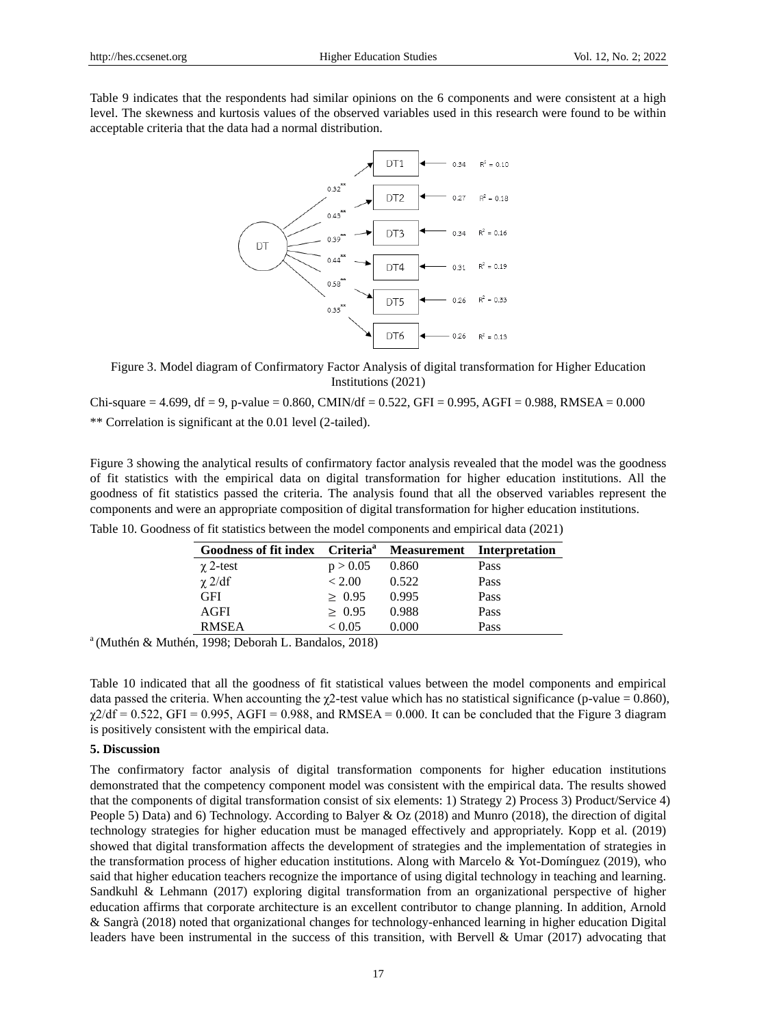Table 9 indicates that the respondents had similar opinions on the 6 components and were consistent at a high level. The skewness and kurtosis values of the observed variables used in this research were found to be within acceptable criteria that the data had a normal distribution.



Figure 3. Model diagram of Confirmatory Factor Analysis of digital transformation for Higher Education Institutions (2021)

 $Chi-square = 4.699$ ,  $df = 9$ ,  $p-value = 0.860$ ,  $CMIN/df = 0.522$ ,  $GFI = 0.995$ ,  $AGFI = 0.988$ ,  $RMSEA = 0.000$ \*\* Correlation is significant at the 0.01 level (2-tailed).

Figure 3 showing the analytical results of confirmatory factor analysis revealed that the model was the goodness of fit statistics with the empirical data on digital transformation for higher education institutions. All the goodness of fit statistics passed the criteria. The analysis found that all the observed variables represent the components and were an appropriate composition of digital transformation for higher education institutions.

| Goodness of fit index Criteria <sup>a</sup> |              |       | <b>Measurement</b> Interpretation |
|---------------------------------------------|--------------|-------|-----------------------------------|
| $\chi$ 2-test                               | p > 0.05     | 0.860 | Pass                              |
| $\chi$ 2/df                                 | < 2.00       | 0.522 | Pass                              |
| <b>GFI</b>                                  | > 0.95       | 0.995 | Pass                              |
| AGFI                                        | > 0.95       | 0.988 | Pass                              |
| <b>RMSEA</b>                                | ${}_{<}0.05$ | 0.000 | Pass                              |

Table 10. Goodness of fit statistics between the model components and empirical data (2021)

 $a^{a}$ (Muthén & Muthén, 1998; Deborah L. Bandalos, 2018)

Table 10 indicated that all the goodness of fit statistical values between the model components and empirical data passed the criteria. When accounting the  $\chi$ 2-test value which has no statistical significance (p-value = 0.860),  $\chi$ 2/df = 0.522, GFI = 0.995, AGFI = 0.988, and RMSEA = 0.000. It can be concluded that the Figure 3 diagram is positively consistent with the empirical data.

## **5. Discussion**

The confirmatory factor analysis of digital transformation components for higher education institutions demonstrated that the competency component model was consistent with the empirical data. The results showed that the components of digital transformation consist of six elements: 1) Strategy 2) Process 3) Product/Service 4) People 5) Data) and 6) Technology. According to Balyer & Oz (2018) and Munro (2018), the direction of digital technology strategies for higher education must be managed effectively and appropriately. Kopp et al. (2019) showed that digital transformation affects the development of strategies and the implementation of strategies in the transformation process of higher education institutions. Along with Marcelo & Yot-Domínguez (2019), who said that higher education teachers recognize the importance of using digital technology in teaching and learning. Sandkuhl & Lehmann (2017) exploring digital transformation from an organizational perspective of higher education affirms that corporate architecture is an excellent contributor to change planning. In addition, Arnold & Sangrà (2018) noted that organizational changes for technology-enhanced learning in higher education Digital leaders have been instrumental in the success of this transition, with Bervell & Umar (2017) advocating that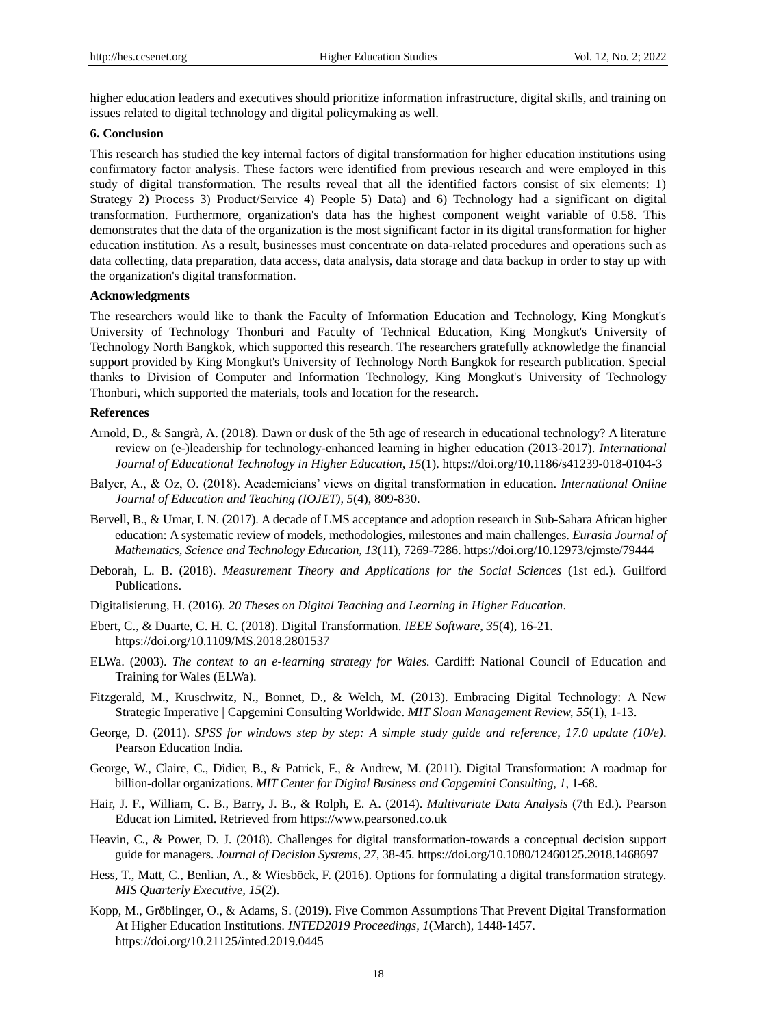higher education leaders and executives should prioritize information infrastructure, digital skills, and training on issues related to digital technology and digital policymaking as well.

#### **6. Conclusion**

This research has studied the key internal factors of digital transformation for higher education institutions using confirmatory factor analysis. These factors were identified from previous research and were employed in this study of digital transformation. The results reveal that all the identified factors consist of six elements: 1) Strategy 2) Process 3) Product/Service 4) People 5) Data) and 6) Technology had a significant on digital transformation. Furthermore, organization's data has the highest component weight variable of 0.58. This demonstrates that the data of the organization is the most significant factor in its digital transformation for higher education institution. As a result, businesses must concentrate on data-related procedures and operations such as data collecting, data preparation, data access, data analysis, data storage and data backup in order to stay up with the organization's digital transformation.

#### **Acknowledgments**

The researchers would like to thank the Faculty of Information Education and Technology, King Mongkut's University of Technology Thonburi and Faculty of Technical Education, King Mongkut's University of Technology North Bangkok, which supported this research. The researchers gratefully acknowledge the financial support provided by King Mongkut's University of Technology North Bangkok for research publication. Special thanks to Division of Computer and Information Technology, King Mongkut's University of Technology Thonburi, which supported the materials, tools and location for the research.

## **References**

- Arnold, D., & Sangrà, A. (2018). Dawn or dusk of the 5th age of research in educational technology? A literature review on (e-)leadership for technology-enhanced learning in higher education (2013-2017). *International Journal of Educational Technology in Higher Education, 15*(1). https://doi.org/10.1186/s41239-018-0104-3
- Balyer, A., & Oz, O. (2018). Academicians' views on digital transformation in education. *International Online Journal of Education and Teaching (IOJET), 5*(4), 809-830.
- Bervell, B., & Umar, I. N. (2017). A decade of LMS acceptance and adoption research in Sub-Sahara African higher education: A systematic review of models, methodologies, milestones and main challenges. *Eurasia Journal of Mathematics, Science and Technology Education, 13*(11), 7269-7286. https://doi.org/10.12973/ejmste/79444
- Deborah, L. B. (2018). *Measurement Theory and Applications for the Social Sciences* (1st ed.). Guilford Publications.
- Digitalisierung, H. (2016). *20 Theses on Digital Teaching and Learning in Higher Education*.
- Ebert, C., & Duarte, C. H. C. (2018). Digital Transformation. *IEEE Software, 35*(4), 16-21. https://doi.org/10.1109/MS.2018.2801537
- ELWa. (2003). *The context to an e-learning strategy for Wales.* Cardiff: National Council of Education and Training for Wales (ELWa).
- Fitzgerald, M., Kruschwitz, N., Bonnet, D., & Welch, M. (2013). Embracing Digital Technology: A New Strategic Imperative | Capgemini Consulting Worldwide. *MIT Sloan Management Review, 55*(1), 1-13.
- George, D. (2011). *SPSS for windows step by step: A simple study guide and reference, 17.0 update (10/e)*. Pearson Education India.
- George, W., Claire, C., Didier, B., & Patrick, F., & Andrew, M. (2011). Digital Transformation: A roadmap for billion-dollar organizations. *MIT Center for Digital Business and Capgemini Consulting, 1*, 1-68.
- Hair, J. F., William, C. B., Barry, J. B., & Rolph, E. A. (2014). *Multivariate Data Analysis* (7th Ed.). Pearson Educat ion Limited. Retrieved from https://www.pearsoned.co.uk
- Heavin, C., & Power, D. J. (2018). Challenges for digital transformation-towards a conceptual decision support guide for managers. *Journal of Decision Systems, 27*, 38-45. https://doi.org/10.1080/12460125.2018.1468697
- Hess, T., Matt, C., Benlian, A., & Wiesböck, F. (2016). Options for formulating a digital transformation strategy. *MIS Quarterly Executive, 15*(2).
- Kopp, M., Gröblinger, O., & Adams, S. (2019). Five Common Assumptions That Prevent Digital Transformation At Higher Education Institutions. *INTED2019 Proceedings, 1*(March), 1448-1457. https://doi.org/10.21125/inted.2019.0445